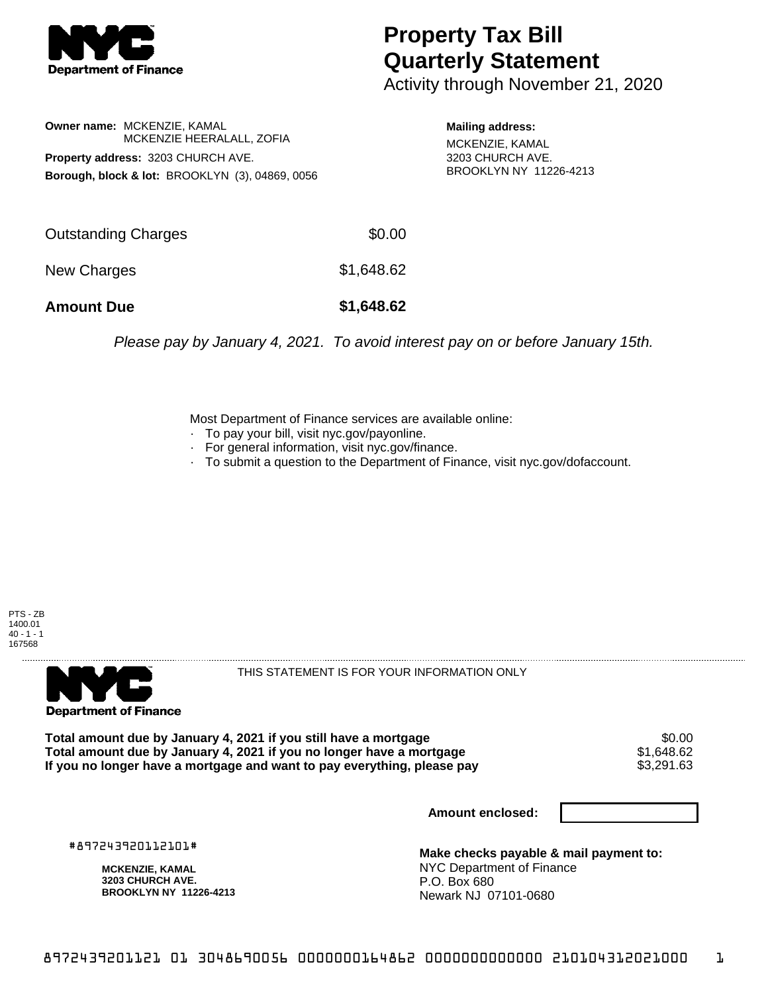

## **Property Tax Bill Quarterly Statement**

Activity through November 21, 2020

**Owner name:** MCKENZIE, KAMAL MCKENZIE HEERALALL, ZOFIA **Property address:** 3203 CHURCH AVE. **Borough, block & lot:** BROOKLYN (3), 04869, 0056

**Mailing address:** MCKENZIE, KAMAL 3203 CHURCH AVE. BROOKLYN NY 11226-4213

| <b>Amount Due</b>   | \$1,648.62 |
|---------------------|------------|
| New Charges         | \$1,648.62 |
| Outstanding Charges | \$0.00     |

Please pay by January 4, 2021. To avoid interest pay on or before January 15th.

Most Department of Finance services are available online:

- · To pay your bill, visit nyc.gov/payonline.
- For general information, visit nyc.gov/finance.
- · To submit a question to the Department of Finance, visit nyc.gov/dofaccount.





THIS STATEMENT IS FOR YOUR INFORMATION ONLY

Total amount due by January 4, 2021 if you still have a mortgage \$0.00<br>Total amount due by January 4, 2021 if you no longer have a mortgage \$1.648.62 **Total amount due by January 4, 2021 if you no longer have a mortgage**  $$1,648.62$$ **<br>If you no longer have a mortgage and want to pay everything, please pay**  $$3,291.63$$ If you no longer have a mortgage and want to pay everything, please pay

**Amount enclosed:**

#897243920112101#

**MCKENZIE, KAMAL 3203 CHURCH AVE. BROOKLYN NY 11226-4213**

**Make checks payable & mail payment to:** NYC Department of Finance P.O. Box 680 Newark NJ 07101-0680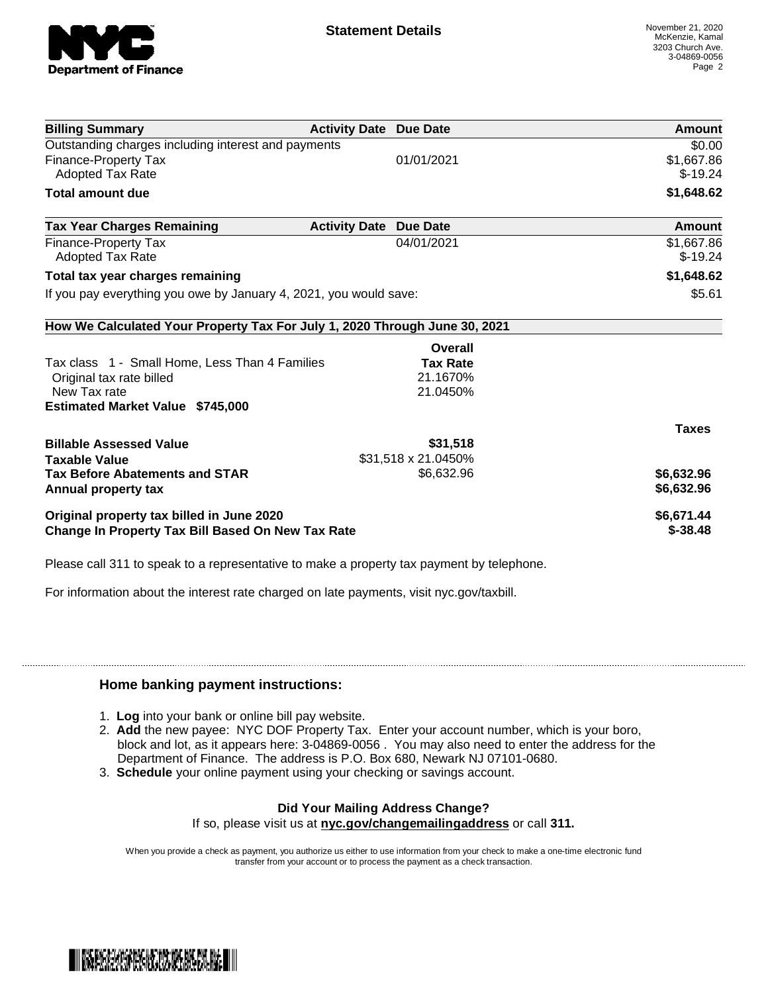

| <b>Billing Summary</b>                                                     | <b>Activity Date Due Date</b> |                     | Amount       |
|----------------------------------------------------------------------------|-------------------------------|---------------------|--------------|
| Outstanding charges including interest and payments                        |                               |                     | \$0.00       |
| <b>Finance-Property Tax</b>                                                |                               | 01/01/2021          | \$1,667.86   |
| <b>Adopted Tax Rate</b>                                                    |                               |                     | $$-19.24$    |
| <b>Total amount due</b>                                                    |                               |                     | \$1,648.62   |
| <b>Tax Year Charges Remaining</b>                                          | <b>Activity Date</b>          | <b>Due Date</b>     | Amount       |
| <b>Finance-Property Tax</b>                                                |                               | 04/01/2021          | \$1,667.86   |
| <b>Adopted Tax Rate</b>                                                    |                               |                     | $$-19.24$    |
| Total tax year charges remaining                                           |                               |                     | \$1,648.62   |
| If you pay everything you owe by January 4, 2021, you would save:          |                               |                     | \$5.61       |
| How We Calculated Your Property Tax For July 1, 2020 Through June 30, 2021 |                               |                     |              |
|                                                                            |                               | Overall             |              |
| Tax class 1 - Small Home, Less Than 4 Families                             |                               | <b>Tax Rate</b>     |              |
| Original tax rate billed                                                   |                               | 21.1670%            |              |
| New Tax rate                                                               |                               | 21.0450%            |              |
| <b>Estimated Market Value \$745,000</b>                                    |                               |                     |              |
|                                                                            |                               |                     | <b>Taxes</b> |
| <b>Billable Assessed Value</b>                                             |                               | \$31,518            |              |
| <b>Taxable Value</b>                                                       |                               | \$31,518 x 21.0450% |              |
| <b>Tax Before Abatements and STAR</b>                                      |                               | \$6,632.96          | \$6,632.96   |
| Annual property tax                                                        |                               |                     | \$6,632.96   |
| Original property tax billed in June 2020                                  |                               |                     | \$6,671.44   |
| <b>Change In Property Tax Bill Based On New Tax Rate</b>                   |                               |                     | $$ -38.48$   |

Please call 311 to speak to a representative to make a property tax payment by telephone.

For information about the interest rate charged on late payments, visit nyc.gov/taxbill.

## **Home banking payment instructions:**

- 1. **Log** into your bank or online bill pay website.
- 2. **Add** the new payee: NYC DOF Property Tax. Enter your account number, which is your boro, block and lot, as it appears here: 3-04869-0056 . You may also need to enter the address for the Department of Finance. The address is P.O. Box 680, Newark NJ 07101-0680.
- 3. **Schedule** your online payment using your checking or savings account.

## **Did Your Mailing Address Change?**

If so, please visit us at **nyc.gov/changemailingaddress** or call **311.**

When you provide a check as payment, you authorize us either to use information from your check to make a one-time electronic fund transfer from your account or to process the payment as a check transaction.